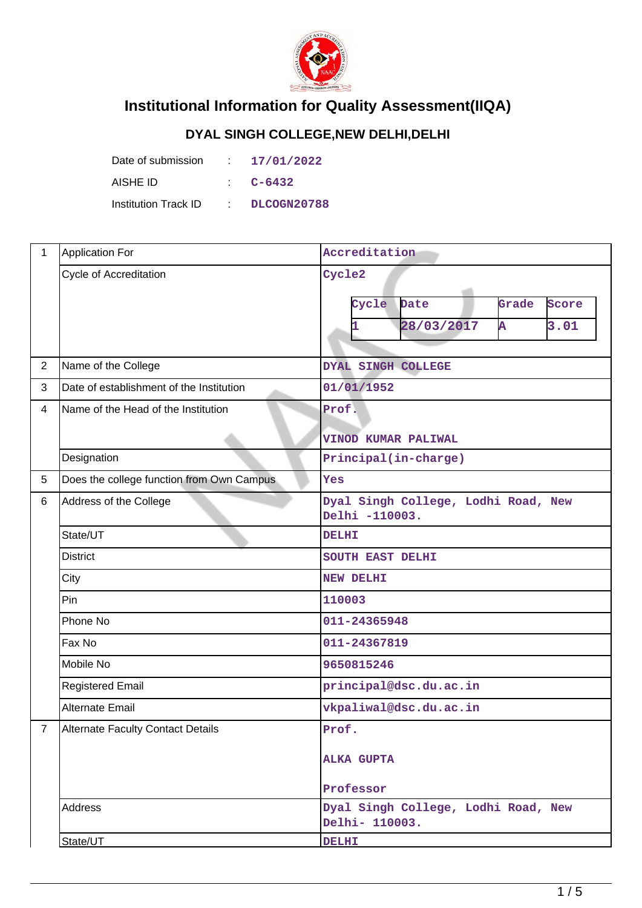

## **Institutional Information for Quality Assessment(IIQA)**

## **DYAL SINGH COLLEGE,NEW DELHI,DELHI**

| Date of submission   | A. | 17/01/2022  |
|----------------------|----|-------------|
| AISHE ID             |    | C-6432      |
| Institution Track ID |    | DLCOGN20788 |

| 1               | <b>Application For</b>                    | Accreditation                                                        |  |  |  |  |
|-----------------|-------------------------------------------|----------------------------------------------------------------------|--|--|--|--|
|                 | Cycle of Accreditation                    | Cycle2<br>Cycle<br>Date<br>Grade<br>Score<br>28/03/2017<br>3.01<br>A |  |  |  |  |
| $\overline{2}$  | Name of the College                       | DYAL SINGH COLLEGE                                                   |  |  |  |  |
| 3               | Date of establishment of the Institution  | 01/01/1952                                                           |  |  |  |  |
| $\overline{4}$  | Name of the Head of the Institution       | Prof.                                                                |  |  |  |  |
|                 |                                           | <b>VINOD KUMAR PALIWAL</b>                                           |  |  |  |  |
|                 | Designation                               | Principal(in-charge)                                                 |  |  |  |  |
| $5\phantom{.0}$ | Does the college function from Own Campus | Yes                                                                  |  |  |  |  |
| 6               | Address of the College                    | Dyal Singh College, Lodhi Road, New<br>Delhi -110003.                |  |  |  |  |
|                 | State/UT                                  | <b>DELHI</b>                                                         |  |  |  |  |
|                 | <b>District</b>                           | SOUTH EAST DELHI                                                     |  |  |  |  |
|                 | City                                      | <b>NEW DELHI</b>                                                     |  |  |  |  |
|                 | Pin                                       | 110003                                                               |  |  |  |  |
|                 | Phone No                                  | 011-24365948                                                         |  |  |  |  |
|                 | Fax No                                    | 011-24367819                                                         |  |  |  |  |
|                 | Mobile No                                 | 9650815246                                                           |  |  |  |  |
|                 | <b>Registered Email</b>                   | principal@dsc.du.ac.in                                               |  |  |  |  |
|                 | <b>Alternate Email</b>                    | vkpaliwal@dsc.du.ac.in                                               |  |  |  |  |
| 7               | <b>Alternate Faculty Contact Details</b>  | Prof.                                                                |  |  |  |  |
|                 |                                           | <b>ALKA GUPTA</b>                                                    |  |  |  |  |
|                 |                                           | Professor                                                            |  |  |  |  |
|                 | Address                                   | Dyal Singh College, Lodhi Road, New<br>Delhi- 110003.                |  |  |  |  |
|                 | State/UT                                  | <b>DELHI</b>                                                         |  |  |  |  |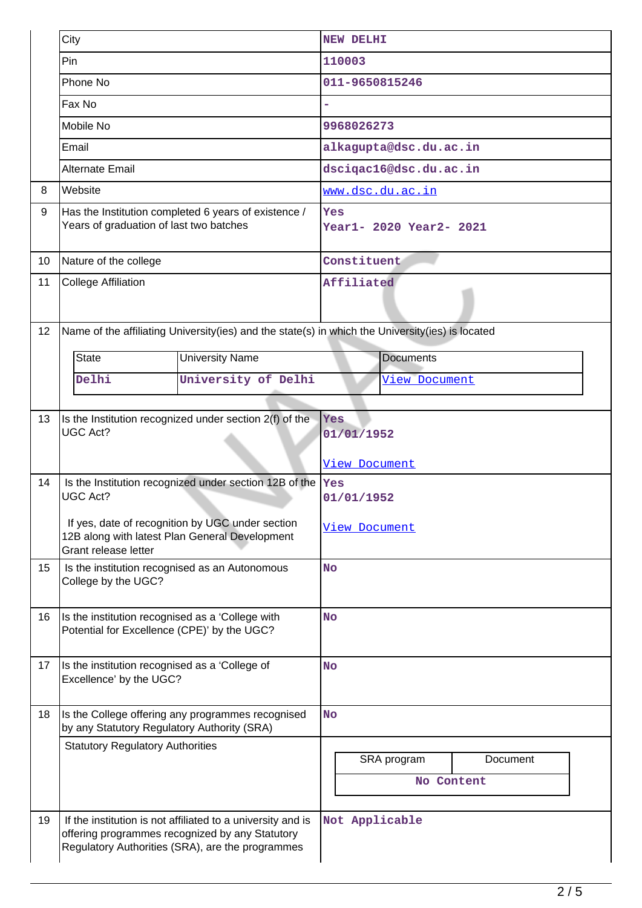|    | City                                                                                                                       |                                                                                                                                                                    | <b>NEW DELHI</b>                                 |                           |          |  |  |
|----|----------------------------------------------------------------------------------------------------------------------------|--------------------------------------------------------------------------------------------------------------------------------------------------------------------|--------------------------------------------------|---------------------------|----------|--|--|
|    | Pin                                                                                                                        |                                                                                                                                                                    | 110003                                           |                           |          |  |  |
|    | Phone No                                                                                                                   |                                                                                                                                                                    | 011-9650815246                                   |                           |          |  |  |
|    | Fax No                                                                                                                     |                                                                                                                                                                    |                                                  |                           |          |  |  |
|    | Mobile No                                                                                                                  |                                                                                                                                                                    | 9968026273                                       |                           |          |  |  |
|    | Email                                                                                                                      |                                                                                                                                                                    |                                                  | alkagupta@dsc.du.ac.in    |          |  |  |
|    | <b>Alternate Email</b>                                                                                                     |                                                                                                                                                                    |                                                  | dscigac16@dsc.du.ac.in    |          |  |  |
| 8  | Website                                                                                                                    |                                                                                                                                                                    |                                                  | www.dsc.du.ac.in          |          |  |  |
| 9  | Years of graduation of last two batches                                                                                    | Has the Institution completed 6 years of existence /                                                                                                               | Yes                                              | Year1- 2020 Year2- 2021   |          |  |  |
| 10 | Nature of the college                                                                                                      |                                                                                                                                                                    | Constituent                                      |                           |          |  |  |
| 11 | <b>College Affiliation</b>                                                                                                 |                                                                                                                                                                    | Affiliated                                       |                           |          |  |  |
| 12 |                                                                                                                            | Name of the affiliating University(ies) and the state(s) in which the University(ies) is located                                                                   |                                                  |                           |          |  |  |
|    | <b>State</b>                                                                                                               | <b>University Name</b>                                                                                                                                             |                                                  | <b>Documents</b>          |          |  |  |
|    | Delhi                                                                                                                      | University of Delhi                                                                                                                                                |                                                  | <u>View Document</u>      |          |  |  |
|    |                                                                                                                            |                                                                                                                                                                    |                                                  |                           |          |  |  |
| 13 | <b>UGC Act?</b>                                                                                                            | Is the Institution recognized under section 2(f) of the                                                                                                            | <b>Yes</b><br>01/01/1952<br><u>View Document</u> |                           |          |  |  |
| 14 | <b>UGC Act?</b>                                                                                                            | Is the Institution recognized under section 12B of the                                                                                                             | Yes<br>01/01/1952                                |                           |          |  |  |
|    | If yes, date of recognition by UGC under section<br>12B along with latest Plan General Development<br>Grant release letter | View Document                                                                                                                                                      |                                                  |                           |          |  |  |
| 15 | Is the institution recognised as an Autonomous<br>College by the UGC?                                                      | <b>No</b>                                                                                                                                                          |                                                  |                           |          |  |  |
| 16 | Is the institution recognised as a 'College with<br>Potential for Excellence (CPE)' by the UGC?                            |                                                                                                                                                                    | <b>No</b>                                        |                           |          |  |  |
| 17 | Is the institution recognised as a 'College of<br>Excellence' by the UGC?                                                  |                                                                                                                                                                    | <b>No</b>                                        |                           |          |  |  |
| 18 | by any Statutory Regulatory Authority (SRA)                                                                                | Is the College offering any programmes recognised                                                                                                                  | <b>No</b>                                        |                           |          |  |  |
|    | <b>Statutory Regulatory Authorities</b>                                                                                    |                                                                                                                                                                    |                                                  | SRA program<br>No Content | Document |  |  |
| 19 |                                                                                                                            | If the institution is not affiliated to a university and is<br>offering programmes recognized by any Statutory<br>Regulatory Authorities (SRA), are the programmes | Not Applicable                                   |                           |          |  |  |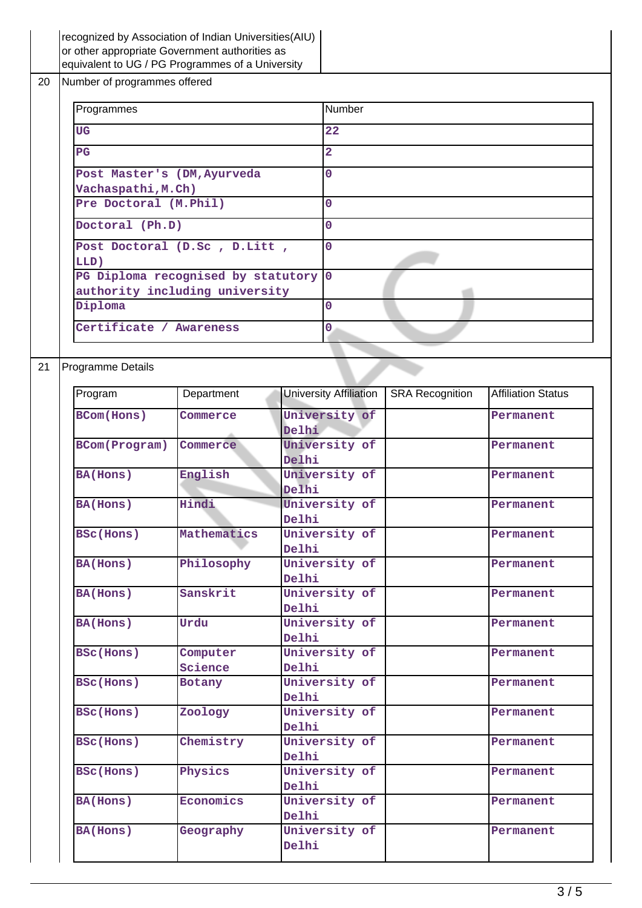|    | recognized by Association of Indian Universities(AIU)<br>or other appropriate Government authorities as<br>equivalent to UG / PG Programmes of a University |             |                        |                               |                        |                           |
|----|-------------------------------------------------------------------------------------------------------------------------------------------------------------|-------------|------------------------|-------------------------------|------------------------|---------------------------|
| 20 | Number of programmes offered                                                                                                                                |             |                        |                               |                        |                           |
|    | Programmes                                                                                                                                                  |             |                        | Number                        |                        |                           |
|    | <b>UG</b>                                                                                                                                                   |             |                        | 22                            |                        |                           |
|    | $_{\rm PG}$                                                                                                                                                 |             |                        | $\overline{\mathbf{2}}$       |                        |                           |
|    | Post Master's (DM, Ayurveda<br>Vachaspathi, M.Ch)                                                                                                           |             |                        | $\overline{0}$                |                        |                           |
|    | Pre Doctoral (M.Phil)                                                                                                                                       |             |                        | $\mathbf 0$                   |                        |                           |
|    | Doctoral (Ph.D)                                                                                                                                             |             |                        | $\mathbf 0$                   |                        |                           |
|    | Post Doctoral (D.Sc, D.Litt,<br>LLD)                                                                                                                        |             |                        | $\overline{0}$                |                        |                           |
|    | PG Diploma recognised by statutory                                                                                                                          |             |                        | $\overline{0}$                |                        |                           |
|    | authority including university                                                                                                                              |             |                        |                               |                        |                           |
|    | Diploma                                                                                                                                                     |             |                        | $\overline{0}$                |                        |                           |
|    | Certificate / Awareness                                                                                                                                     |             |                        | $\overline{0}$                |                        |                           |
|    |                                                                                                                                                             |             |                        |                               |                        |                           |
| 21 | Programme Details                                                                                                                                           |             |                        |                               |                        |                           |
|    | Program                                                                                                                                                     | Department  |                        | <b>University Affiliation</b> | <b>SRA Recognition</b> | <b>Affiliation Status</b> |
|    | <b>BCom(Hons)</b>                                                                                                                                           | Commerce    | Delhi                  | University of                 |                        | Permanent                 |
|    | BCom(Program)                                                                                                                                               | Commerce    | University of<br>Delhi |                               | Permanent              |                           |
|    | <b>BA(Hons)</b>                                                                                                                                             | English     | University of<br>Delhi |                               |                        | Permanent                 |
|    | <b>BA(Hons)</b>                                                                                                                                             | Hindi       | Delhi                  | University of                 |                        | Permanent                 |
|    | BSc(Hons)                                                                                                                                                   | Mathematics | Delhi                  | University of                 |                        | Permanent                 |
|    | <b>BA(Hons)</b>                                                                                                                                             | Philosophy  | Delhi                  | University of                 |                        | Permanent                 |
|    | <b>BA(Hons)</b>                                                                                                                                             | Sanskrit    | Delhi                  | University of                 |                        | Permanent                 |
|    | <b>BA(Hons)</b>                                                                                                                                             | Urdu        | University of<br>Delhi |                               |                        | Permanent                 |
|    | BSc(Hons)                                                                                                                                                   | Computer    |                        | University of                 |                        | Permanent                 |
|    |                                                                                                                                                             | Science     | Delhi                  |                               |                        |                           |
|    | BSc(Hons)                                                                                                                                                   | Botany      | Delhi                  | University of                 |                        | Permanent                 |
|    | BSc(Hons)                                                                                                                                                   | Zoology     | University of<br>Delhi |                               |                        | Permanent                 |
|    | BSc(Hons)                                                                                                                                                   | Chemistry   | Delhi                  | University of                 |                        | Permanent                 |
|    | BSc(Hons)                                                                                                                                                   | Physics     | Delhi                  | University of                 |                        | Permanent                 |
|    | BA(Hons)                                                                                                                                                    | Economics   | Delhi                  | University of                 |                        | Permanent                 |
|    | <b>BA(Hons)</b>                                                                                                                                             | Geography   |                        | University of                 |                        | Permanent                 |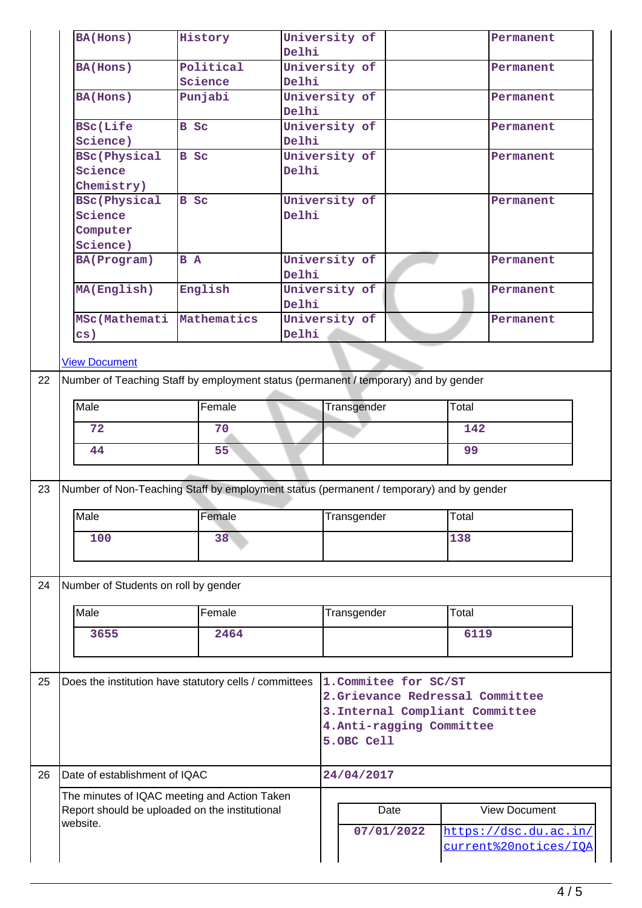| University of<br>History<br>Permanent<br>Delhi<br>Political<br>University of<br><b>BA(Hons)</b><br>Permanent<br>Science<br>Delhi<br>Punjabi<br>University of<br>Permanent<br>Delhi<br><b>B</b> Sc<br>University of<br><b>BSc(Life</b><br>Permanent<br>Science)<br>Delhi<br><b>BSc(Physical</b><br>B Sc<br>University of<br>Permanent<br>Science<br>Delhi<br>Chemistry)<br><b>BSc(Physical</b><br><b>B</b> Sc<br>University of<br>Permanent<br>Delhi<br>University of<br>B A<br>Permanent<br>Delhi<br>English<br>University of<br>Permanent<br>Delhi<br>University of<br>Mathematics<br>Permanent<br>Delhi<br><b>View Document</b><br>Number of Teaching Staff by employment status (permanent / temporary) and by gender<br>Female<br>Transgender<br>Total<br>72<br>70<br>142<br>55<br>99<br>44<br>Number of Non-Teaching Staff by employment status (permanent / temporary) and by gender<br>Total<br>Female<br>Transgender<br>138<br>100<br>38<br>Number of Students on roll by gender<br>Female<br>Transgender<br>Total<br>6119<br>3655<br>2464<br>Does the institution have statutory cells / committees<br>1. Commitee for SC/ST<br>2.Grievance Redressal Committee<br>3. Internal Compliant Committee<br>4. Anti-ragging Committee<br>5.OBC Cell<br>Date of establishment of IQAC<br>24/04/2017<br>The minutes of IQAC meeting and Action Taken<br>Report should be uploaded on the institutional<br><b>View Document</b><br>Date<br>07/01/2022<br>https://dsc.du.ac.in/<br>current%20notices/IQA |    |                    |  |  |  |  |  |  |  |  |
|---------------------------------------------------------------------------------------------------------------------------------------------------------------------------------------------------------------------------------------------------------------------------------------------------------------------------------------------------------------------------------------------------------------------------------------------------------------------------------------------------------------------------------------------------------------------------------------------------------------------------------------------------------------------------------------------------------------------------------------------------------------------------------------------------------------------------------------------------------------------------------------------------------------------------------------------------------------------------------------------------------------------------------------------------------------------------------------------------------------------------------------------------------------------------------------------------------------------------------------------------------------------------------------------------------------------------------------------------------------------------------------------------------------------------------------------------------------------------------------------------------|----|--------------------|--|--|--|--|--|--|--|--|
|                                                                                                                                                                                                                                                                                                                                                                                                                                                                                                                                                                                                                                                                                                                                                                                                                                                                                                                                                                                                                                                                                                                                                                                                                                                                                                                                                                                                                                                                                                         |    | <b>BA(Hons)</b>    |  |  |  |  |  |  |  |  |
|                                                                                                                                                                                                                                                                                                                                                                                                                                                                                                                                                                                                                                                                                                                                                                                                                                                                                                                                                                                                                                                                                                                                                                                                                                                                                                                                                                                                                                                                                                         |    |                    |  |  |  |  |  |  |  |  |
|                                                                                                                                                                                                                                                                                                                                                                                                                                                                                                                                                                                                                                                                                                                                                                                                                                                                                                                                                                                                                                                                                                                                                                                                                                                                                                                                                                                                                                                                                                         |    |                    |  |  |  |  |  |  |  |  |
|                                                                                                                                                                                                                                                                                                                                                                                                                                                                                                                                                                                                                                                                                                                                                                                                                                                                                                                                                                                                                                                                                                                                                                                                                                                                                                                                                                                                                                                                                                         |    | <b>BA(Hons)</b>    |  |  |  |  |  |  |  |  |
|                                                                                                                                                                                                                                                                                                                                                                                                                                                                                                                                                                                                                                                                                                                                                                                                                                                                                                                                                                                                                                                                                                                                                                                                                                                                                                                                                                                                                                                                                                         |    |                    |  |  |  |  |  |  |  |  |
|                                                                                                                                                                                                                                                                                                                                                                                                                                                                                                                                                                                                                                                                                                                                                                                                                                                                                                                                                                                                                                                                                                                                                                                                                                                                                                                                                                                                                                                                                                         |    |                    |  |  |  |  |  |  |  |  |
|                                                                                                                                                                                                                                                                                                                                                                                                                                                                                                                                                                                                                                                                                                                                                                                                                                                                                                                                                                                                                                                                                                                                                                                                                                                                                                                                                                                                                                                                                                         |    |                    |  |  |  |  |  |  |  |  |
|                                                                                                                                                                                                                                                                                                                                                                                                                                                                                                                                                                                                                                                                                                                                                                                                                                                                                                                                                                                                                                                                                                                                                                                                                                                                                                                                                                                                                                                                                                         |    |                    |  |  |  |  |  |  |  |  |
|                                                                                                                                                                                                                                                                                                                                                                                                                                                                                                                                                                                                                                                                                                                                                                                                                                                                                                                                                                                                                                                                                                                                                                                                                                                                                                                                                                                                                                                                                                         |    |                    |  |  |  |  |  |  |  |  |
|                                                                                                                                                                                                                                                                                                                                                                                                                                                                                                                                                                                                                                                                                                                                                                                                                                                                                                                                                                                                                                                                                                                                                                                                                                                                                                                                                                                                                                                                                                         |    |                    |  |  |  |  |  |  |  |  |
|                                                                                                                                                                                                                                                                                                                                                                                                                                                                                                                                                                                                                                                                                                                                                                                                                                                                                                                                                                                                                                                                                                                                                                                                                                                                                                                                                                                                                                                                                                         |    | Science            |  |  |  |  |  |  |  |  |
|                                                                                                                                                                                                                                                                                                                                                                                                                                                                                                                                                                                                                                                                                                                                                                                                                                                                                                                                                                                                                                                                                                                                                                                                                                                                                                                                                                                                                                                                                                         |    | Computer           |  |  |  |  |  |  |  |  |
|                                                                                                                                                                                                                                                                                                                                                                                                                                                                                                                                                                                                                                                                                                                                                                                                                                                                                                                                                                                                                                                                                                                                                                                                                                                                                                                                                                                                                                                                                                         |    | Science)           |  |  |  |  |  |  |  |  |
|                                                                                                                                                                                                                                                                                                                                                                                                                                                                                                                                                                                                                                                                                                                                                                                                                                                                                                                                                                                                                                                                                                                                                                                                                                                                                                                                                                                                                                                                                                         |    | <b>BA(Program)</b> |  |  |  |  |  |  |  |  |
|                                                                                                                                                                                                                                                                                                                                                                                                                                                                                                                                                                                                                                                                                                                                                                                                                                                                                                                                                                                                                                                                                                                                                                                                                                                                                                                                                                                                                                                                                                         |    |                    |  |  |  |  |  |  |  |  |
|                                                                                                                                                                                                                                                                                                                                                                                                                                                                                                                                                                                                                                                                                                                                                                                                                                                                                                                                                                                                                                                                                                                                                                                                                                                                                                                                                                                                                                                                                                         |    | MA(English)        |  |  |  |  |  |  |  |  |
|                                                                                                                                                                                                                                                                                                                                                                                                                                                                                                                                                                                                                                                                                                                                                                                                                                                                                                                                                                                                                                                                                                                                                                                                                                                                                                                                                                                                                                                                                                         |    |                    |  |  |  |  |  |  |  |  |
|                                                                                                                                                                                                                                                                                                                                                                                                                                                                                                                                                                                                                                                                                                                                                                                                                                                                                                                                                                                                                                                                                                                                                                                                                                                                                                                                                                                                                                                                                                         |    | MSc(Mathemati      |  |  |  |  |  |  |  |  |
|                                                                                                                                                                                                                                                                                                                                                                                                                                                                                                                                                                                                                                                                                                                                                                                                                                                                                                                                                                                                                                                                                                                                                                                                                                                                                                                                                                                                                                                                                                         |    | $\mathbf{cs}$ )    |  |  |  |  |  |  |  |  |
|                                                                                                                                                                                                                                                                                                                                                                                                                                                                                                                                                                                                                                                                                                                                                                                                                                                                                                                                                                                                                                                                                                                                                                                                                                                                                                                                                                                                                                                                                                         |    |                    |  |  |  |  |  |  |  |  |
|                                                                                                                                                                                                                                                                                                                                                                                                                                                                                                                                                                                                                                                                                                                                                                                                                                                                                                                                                                                                                                                                                                                                                                                                                                                                                                                                                                                                                                                                                                         |    |                    |  |  |  |  |  |  |  |  |
|                                                                                                                                                                                                                                                                                                                                                                                                                                                                                                                                                                                                                                                                                                                                                                                                                                                                                                                                                                                                                                                                                                                                                                                                                                                                                                                                                                                                                                                                                                         | 22 |                    |  |  |  |  |  |  |  |  |
|                                                                                                                                                                                                                                                                                                                                                                                                                                                                                                                                                                                                                                                                                                                                                                                                                                                                                                                                                                                                                                                                                                                                                                                                                                                                                                                                                                                                                                                                                                         |    | Male               |  |  |  |  |  |  |  |  |
|                                                                                                                                                                                                                                                                                                                                                                                                                                                                                                                                                                                                                                                                                                                                                                                                                                                                                                                                                                                                                                                                                                                                                                                                                                                                                                                                                                                                                                                                                                         |    |                    |  |  |  |  |  |  |  |  |
|                                                                                                                                                                                                                                                                                                                                                                                                                                                                                                                                                                                                                                                                                                                                                                                                                                                                                                                                                                                                                                                                                                                                                                                                                                                                                                                                                                                                                                                                                                         |    |                    |  |  |  |  |  |  |  |  |
|                                                                                                                                                                                                                                                                                                                                                                                                                                                                                                                                                                                                                                                                                                                                                                                                                                                                                                                                                                                                                                                                                                                                                                                                                                                                                                                                                                                                                                                                                                         |    |                    |  |  |  |  |  |  |  |  |
|                                                                                                                                                                                                                                                                                                                                                                                                                                                                                                                                                                                                                                                                                                                                                                                                                                                                                                                                                                                                                                                                                                                                                                                                                                                                                                                                                                                                                                                                                                         |    |                    |  |  |  |  |  |  |  |  |
|                                                                                                                                                                                                                                                                                                                                                                                                                                                                                                                                                                                                                                                                                                                                                                                                                                                                                                                                                                                                                                                                                                                                                                                                                                                                                                                                                                                                                                                                                                         | 23 |                    |  |  |  |  |  |  |  |  |
|                                                                                                                                                                                                                                                                                                                                                                                                                                                                                                                                                                                                                                                                                                                                                                                                                                                                                                                                                                                                                                                                                                                                                                                                                                                                                                                                                                                                                                                                                                         |    | Male               |  |  |  |  |  |  |  |  |
|                                                                                                                                                                                                                                                                                                                                                                                                                                                                                                                                                                                                                                                                                                                                                                                                                                                                                                                                                                                                                                                                                                                                                                                                                                                                                                                                                                                                                                                                                                         |    |                    |  |  |  |  |  |  |  |  |
|                                                                                                                                                                                                                                                                                                                                                                                                                                                                                                                                                                                                                                                                                                                                                                                                                                                                                                                                                                                                                                                                                                                                                                                                                                                                                                                                                                                                                                                                                                         |    |                    |  |  |  |  |  |  |  |  |
|                                                                                                                                                                                                                                                                                                                                                                                                                                                                                                                                                                                                                                                                                                                                                                                                                                                                                                                                                                                                                                                                                                                                                                                                                                                                                                                                                                                                                                                                                                         |    |                    |  |  |  |  |  |  |  |  |
|                                                                                                                                                                                                                                                                                                                                                                                                                                                                                                                                                                                                                                                                                                                                                                                                                                                                                                                                                                                                                                                                                                                                                                                                                                                                                                                                                                                                                                                                                                         | 24 |                    |  |  |  |  |  |  |  |  |
|                                                                                                                                                                                                                                                                                                                                                                                                                                                                                                                                                                                                                                                                                                                                                                                                                                                                                                                                                                                                                                                                                                                                                                                                                                                                                                                                                                                                                                                                                                         |    | Male               |  |  |  |  |  |  |  |  |
|                                                                                                                                                                                                                                                                                                                                                                                                                                                                                                                                                                                                                                                                                                                                                                                                                                                                                                                                                                                                                                                                                                                                                                                                                                                                                                                                                                                                                                                                                                         |    |                    |  |  |  |  |  |  |  |  |
|                                                                                                                                                                                                                                                                                                                                                                                                                                                                                                                                                                                                                                                                                                                                                                                                                                                                                                                                                                                                                                                                                                                                                                                                                                                                                                                                                                                                                                                                                                         |    |                    |  |  |  |  |  |  |  |  |
|                                                                                                                                                                                                                                                                                                                                                                                                                                                                                                                                                                                                                                                                                                                                                                                                                                                                                                                                                                                                                                                                                                                                                                                                                                                                                                                                                                                                                                                                                                         |    |                    |  |  |  |  |  |  |  |  |
|                                                                                                                                                                                                                                                                                                                                                                                                                                                                                                                                                                                                                                                                                                                                                                                                                                                                                                                                                                                                                                                                                                                                                                                                                                                                                                                                                                                                                                                                                                         |    |                    |  |  |  |  |  |  |  |  |
|                                                                                                                                                                                                                                                                                                                                                                                                                                                                                                                                                                                                                                                                                                                                                                                                                                                                                                                                                                                                                                                                                                                                                                                                                                                                                                                                                                                                                                                                                                         | 25 |                    |  |  |  |  |  |  |  |  |
|                                                                                                                                                                                                                                                                                                                                                                                                                                                                                                                                                                                                                                                                                                                                                                                                                                                                                                                                                                                                                                                                                                                                                                                                                                                                                                                                                                                                                                                                                                         |    |                    |  |  |  |  |  |  |  |  |
|                                                                                                                                                                                                                                                                                                                                                                                                                                                                                                                                                                                                                                                                                                                                                                                                                                                                                                                                                                                                                                                                                                                                                                                                                                                                                                                                                                                                                                                                                                         |    |                    |  |  |  |  |  |  |  |  |
|                                                                                                                                                                                                                                                                                                                                                                                                                                                                                                                                                                                                                                                                                                                                                                                                                                                                                                                                                                                                                                                                                                                                                                                                                                                                                                                                                                                                                                                                                                         |    |                    |  |  |  |  |  |  |  |  |
|                                                                                                                                                                                                                                                                                                                                                                                                                                                                                                                                                                                                                                                                                                                                                                                                                                                                                                                                                                                                                                                                                                                                                                                                                                                                                                                                                                                                                                                                                                         |    |                    |  |  |  |  |  |  |  |  |
|                                                                                                                                                                                                                                                                                                                                                                                                                                                                                                                                                                                                                                                                                                                                                                                                                                                                                                                                                                                                                                                                                                                                                                                                                                                                                                                                                                                                                                                                                                         |    |                    |  |  |  |  |  |  |  |  |
|                                                                                                                                                                                                                                                                                                                                                                                                                                                                                                                                                                                                                                                                                                                                                                                                                                                                                                                                                                                                                                                                                                                                                                                                                                                                                                                                                                                                                                                                                                         |    |                    |  |  |  |  |  |  |  |  |
|                                                                                                                                                                                                                                                                                                                                                                                                                                                                                                                                                                                                                                                                                                                                                                                                                                                                                                                                                                                                                                                                                                                                                                                                                                                                                                                                                                                                                                                                                                         | 26 |                    |  |  |  |  |  |  |  |  |
|                                                                                                                                                                                                                                                                                                                                                                                                                                                                                                                                                                                                                                                                                                                                                                                                                                                                                                                                                                                                                                                                                                                                                                                                                                                                                                                                                                                                                                                                                                         |    |                    |  |  |  |  |  |  |  |  |
|                                                                                                                                                                                                                                                                                                                                                                                                                                                                                                                                                                                                                                                                                                                                                                                                                                                                                                                                                                                                                                                                                                                                                                                                                                                                                                                                                                                                                                                                                                         |    | website.           |  |  |  |  |  |  |  |  |
|                                                                                                                                                                                                                                                                                                                                                                                                                                                                                                                                                                                                                                                                                                                                                                                                                                                                                                                                                                                                                                                                                                                                                                                                                                                                                                                                                                                                                                                                                                         |    |                    |  |  |  |  |  |  |  |  |
|                                                                                                                                                                                                                                                                                                                                                                                                                                                                                                                                                                                                                                                                                                                                                                                                                                                                                                                                                                                                                                                                                                                                                                                                                                                                                                                                                                                                                                                                                                         |    |                    |  |  |  |  |  |  |  |  |